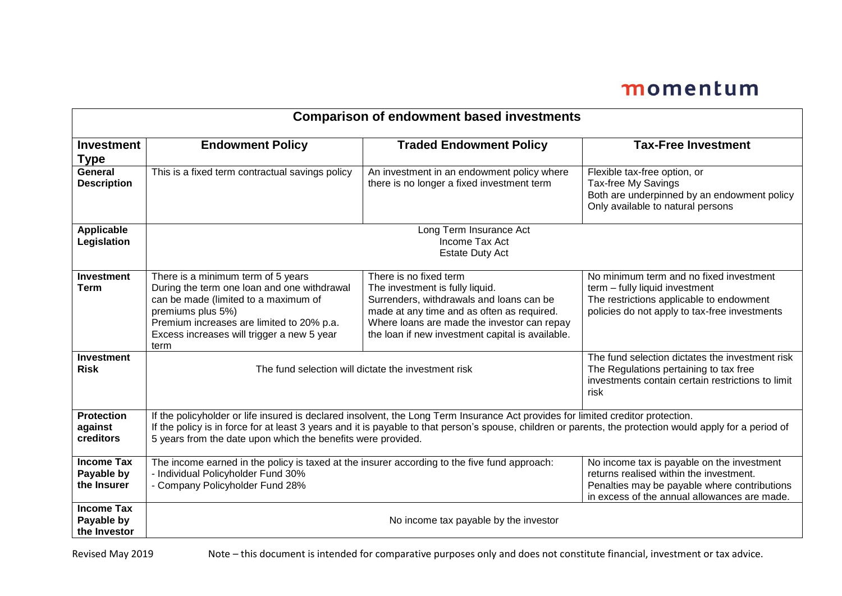## momentum

| <b>Comparison of endowment based investments</b> |                                                                                                                                                                                                                                                                                                                                                               |                                                                                                                                                                                                                                                        |                                                                                                                                                                                       |  |  |
|--------------------------------------------------|---------------------------------------------------------------------------------------------------------------------------------------------------------------------------------------------------------------------------------------------------------------------------------------------------------------------------------------------------------------|--------------------------------------------------------------------------------------------------------------------------------------------------------------------------------------------------------------------------------------------------------|---------------------------------------------------------------------------------------------------------------------------------------------------------------------------------------|--|--|
| <b>Investment</b><br><b>Type</b>                 | <b>Endowment Policy</b>                                                                                                                                                                                                                                                                                                                                       | <b>Traded Endowment Policy</b>                                                                                                                                                                                                                         | <b>Tax-Free Investment</b>                                                                                                                                                            |  |  |
| General<br><b>Description</b>                    | This is a fixed term contractual savings policy                                                                                                                                                                                                                                                                                                               | An investment in an endowment policy where<br>there is no longer a fixed investment term                                                                                                                                                               | Flexible tax-free option, or<br>Tax-free My Savings<br>Both are underpinned by an endowment policy<br>Only available to natural persons                                               |  |  |
| <b>Applicable</b><br>Legislation                 | Long Term Insurance Act<br>Income Tax Act<br><b>Estate Duty Act</b>                                                                                                                                                                                                                                                                                           |                                                                                                                                                                                                                                                        |                                                                                                                                                                                       |  |  |
| <b>Investment</b><br><b>Term</b>                 | There is a minimum term of 5 years<br>During the term one loan and one withdrawal<br>can be made (limited to a maximum of<br>premiums plus 5%)<br>Premium increases are limited to 20% p.a.<br>Excess increases will trigger a new 5 year<br>term                                                                                                             | There is no fixed term<br>The investment is fully liquid.<br>Surrenders, withdrawals and loans can be<br>made at any time and as often as required.<br>Where loans are made the investor can repay<br>the loan if new investment capital is available. | No minimum term and no fixed investment<br>term - fully liquid investment<br>The restrictions applicable to endowment<br>policies do not apply to tax-free investments                |  |  |
| <b>Investment</b><br><b>Risk</b>                 | The fund selection will dictate the investment risk                                                                                                                                                                                                                                                                                                           |                                                                                                                                                                                                                                                        | The fund selection dictates the investment risk<br>The Regulations pertaining to tax free<br>investments contain certain restrictions to limit<br>risk                                |  |  |
| <b>Protection</b><br>against<br><b>creditors</b> | If the policyholder or life insured is declared insolvent, the Long Term Insurance Act provides for limited creditor protection.<br>If the policy is in force for at least 3 years and it is payable to that person's spouse, children or parents, the protection would apply for a period of<br>5 years from the date upon which the benefits were provided. |                                                                                                                                                                                                                                                        |                                                                                                                                                                                       |  |  |
| <b>Income Tax</b><br>Payable by<br>the Insurer   | The income earned in the policy is taxed at the insurer according to the five fund approach:<br>- Individual Policyholder Fund 30%<br>- Company Policyholder Fund 28%                                                                                                                                                                                         |                                                                                                                                                                                                                                                        | No income tax is payable on the investment<br>returns realised within the investment.<br>Penalties may be payable where contributions<br>in excess of the annual allowances are made. |  |  |
| <b>Income Tax</b><br>Payable by<br>the Investor  | No income tax payable by the investor                                                                                                                                                                                                                                                                                                                         |                                                                                                                                                                                                                                                        |                                                                                                                                                                                       |  |  |